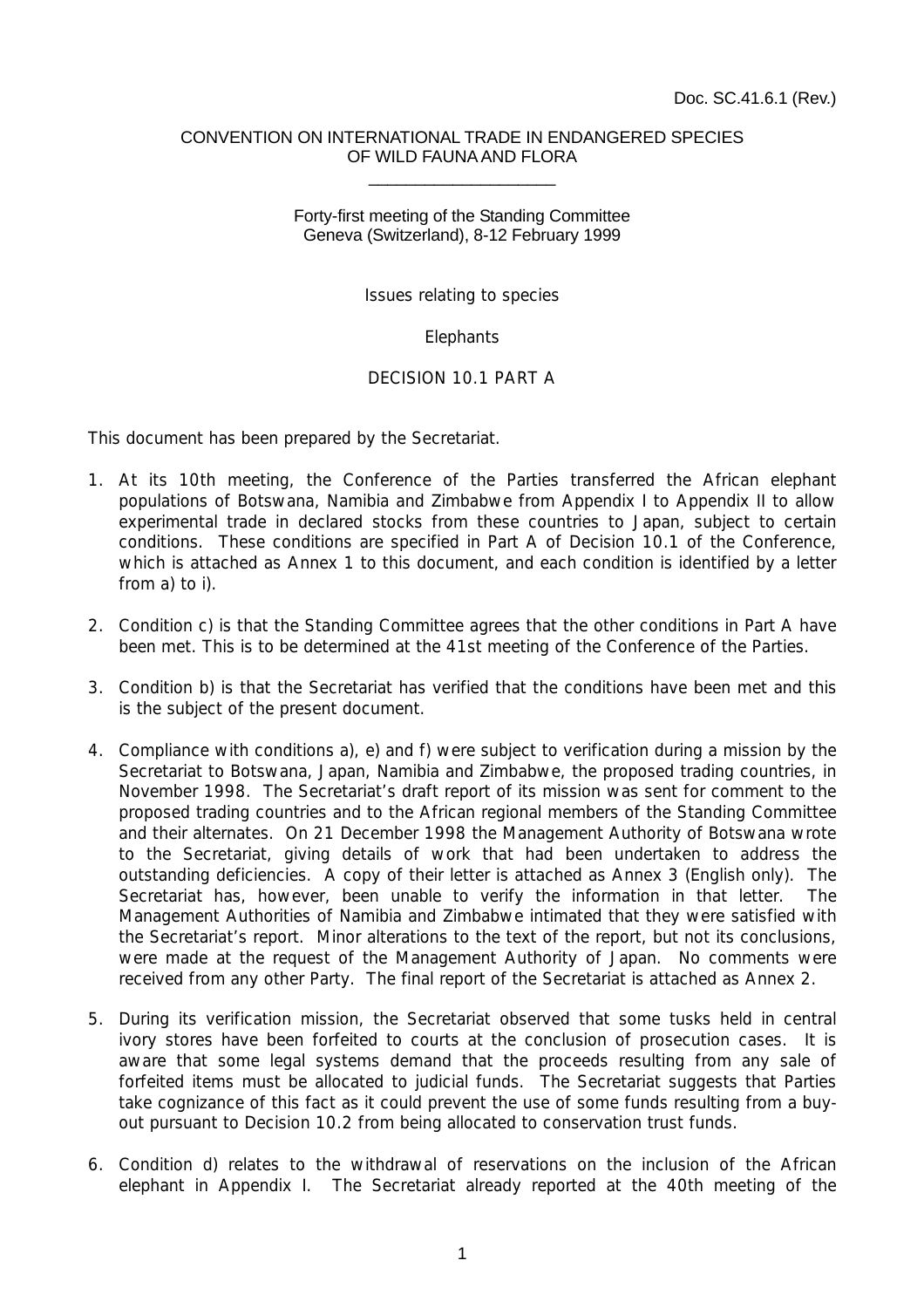### CONVENTION ON INTERNATIONAL TRADE IN ENDANGERED SPECIES OF WILD FAUNA AND FLORA \_\_\_\_\_\_\_\_\_\_\_\_\_\_\_\_\_\_\_\_

Forty-first meeting of the Standing Committee Geneva (Switzerland), 8-12 February 1999

Issues relating to species

**Elephants** 

# DECISION 10.1 PART A

This document has been prepared by the Secretariat.

- 1. At its 10th meeting, the Conference of the Parties transferred the African elephant populations of Botswana, Namibia and Zimbabwe from Appendix I to Appendix II to allow experimental trade in declared stocks from these countries to Japan, subject to certain conditions. These conditions are specified in Part A of Decision 10.1 of the Conference, which is attached as Annex 1 to this document, and each condition is identified by a letter from a) to i).
- 2. Condition c) is that the Standing Committee agrees that the other conditions in Part A have been met. This is to be determined at the 41st meeting of the Conference of the Parties.
- 3. Condition b) is that the Secretariat has verified that the conditions have been met and this is the subject of the present document.
- 4. Compliance with conditions a), e) and f) were subject to verification during a mission by the Secretariat to Botswana, Japan, Namibia and Zimbabwe, the proposed trading countries, in November 1998. The Secretariat's draft report of its mission was sent for comment to the proposed trading countries and to the African regional members of the Standing Committee and their alternates. On 21 December 1998 the Management Authority of Botswana wrote to the Secretariat, giving details of work that had been undertaken to address the outstanding deficiencies. A copy of their letter is attached as Annex 3 (English only). The Secretariat has, however, been unable to verify the information in that letter. The Management Authorities of Namibia and Zimbabwe intimated that they were satisfied with the Secretariat's report. Minor alterations to the text of the report, but not its conclusions, were made at the request of the Management Authority of Japan. No comments were received from any other Party. The final report of the Secretariat is attached as Annex 2.
- 5. During its verification mission, the Secretariat observed that some tusks held in central ivory stores have been forfeited to courts at the conclusion of prosecution cases. It is aware that some legal systems demand that the proceeds resulting from any sale of forfeited items must be allocated to judicial funds. The Secretariat suggests that Parties take cognizance of this fact as it could prevent the use of some funds resulting from a buyout pursuant to Decision 10.2 from being allocated to conservation trust funds.
- 6. Condition d) relates to the withdrawal of reservations on the inclusion of the African elephant in Appendix I. The Secretariat already reported at the 40th meeting of the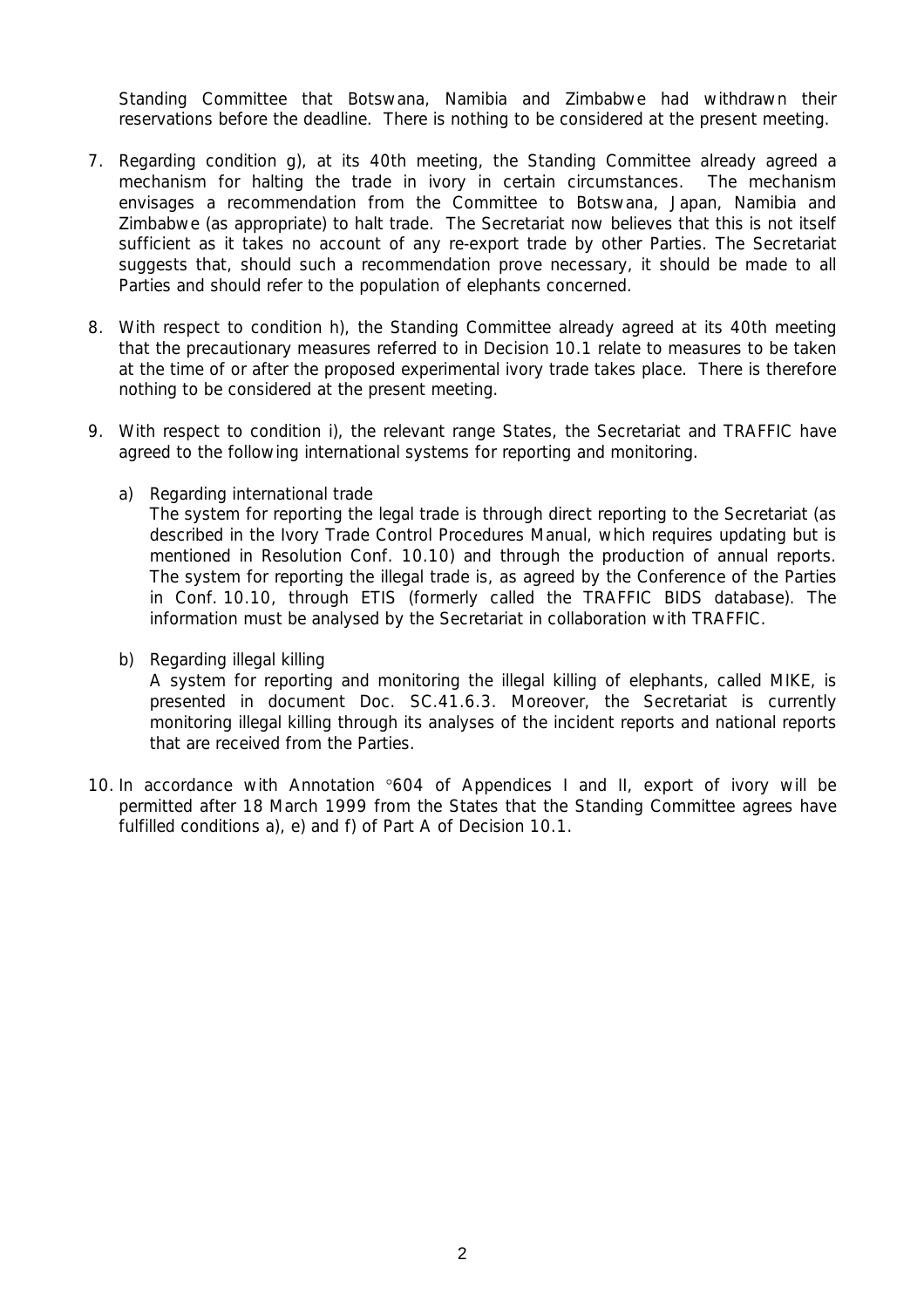Standing Committee that Botswana, Namibia and Zimbabwe had withdrawn their reservations before the deadline. There is nothing to be considered at the present meeting.

- 7. Regarding condition g), at its 40th meeting, the Standing Committee already agreed a mechanism for halting the trade in ivory in certain circumstances. The mechanism envisages a recommendation from the Committee to Botswana, Japan, Namibia and Zimbabwe (as appropriate) to halt trade. The Secretariat now believes that this is not itself sufficient as it takes no account of any re-export trade by other Parties. The Secretariat suggests that, should such a recommendation prove necessary, it should be made to all Parties and should refer to the population of elephants concerned.
- 8. With respect to condition h), the Standing Committee already agreed at its 40th meeting that the precautionary measures referred to in Decision 10.1 relate to measures to be taken at the time of or after the proposed experimental ivory trade takes place. There is therefore nothing to be considered at the present meeting.
- 9. With respect to condition i), the relevant range States, the Secretariat and TRAFFIC have agreed to the following international systems for reporting and monitoring.
	- a) Regarding international trade

 The system for reporting the legal trade is through direct reporting to the Secretariat (as described in the Ivory Trade Control Procedures Manual, which requires updating but is mentioned in Resolution Conf. 10.10) and through the production of annual reports. The system for reporting the illegal trade is, as agreed by the Conference of the Parties in Conf. 10.10, through ETIS (formerly called the TRAFFIC BIDS database). The information must be analysed by the Secretariat in collaboration with TRAFFIC.

b) Regarding illegal killing

 A system for reporting and monitoring the illegal killing of elephants, called MIKE, is presented in document Doc. SC.41.6.3. Moreover, the Secretariat is currently monitoring illegal killing through its analyses of the incident reports and national reports that are received from the Parties.

10. In accordance with Annotation °604 of Appendices I and II, export of ivory will be permitted after 18 March 1999 from the States that the Standing Committee agrees have fulfilled conditions a), e) and f) of Part A of Decision 10.1.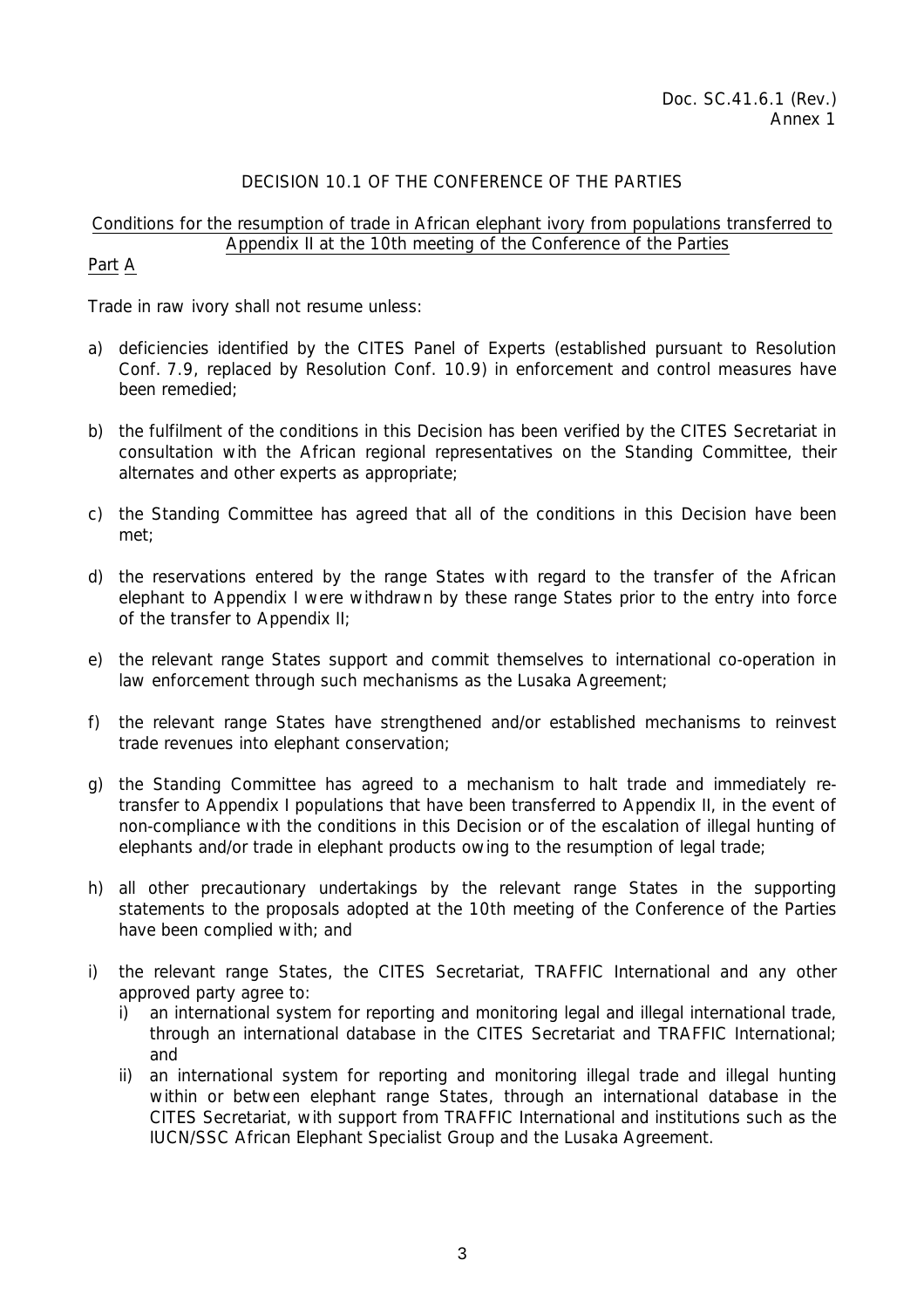# DECISION 10.1 OF THE CONFERENCE OF THE PARTIES

# Conditions for the resumption of trade in African elephant ivory from populations transferred to Appendix II at the 10th meeting of the Conference of the Parties

# Part A

Trade in raw ivory shall not resume unless:

- a) deficiencies identified by the CITES Panel of Experts (established pursuant to Resolution Conf. 7.9, replaced by Resolution Conf. 10.9) in enforcement and control measures have been remedied;
- b) the fulfilment of the conditions in this Decision has been verified by the CITES Secretariat in consultation with the African regional representatives on the Standing Committee, their alternates and other experts as appropriate;
- c) the Standing Committee has agreed that all of the conditions in this Decision have been met;
- d) the reservations entered by the range States with regard to the transfer of the African elephant to Appendix I were withdrawn by these range States prior to the entry into force of the transfer to Appendix II;
- e) the relevant range States support and commit themselves to international co-operation in law enforcement through such mechanisms as the Lusaka Agreement;
- f) the relevant range States have strengthened and/or established mechanisms to reinvest trade revenues into elephant conservation;
- g) the Standing Committee has agreed to a mechanism to halt trade and immediately retransfer to Appendix I populations that have been transferred to Appendix II, in the event of non-compliance with the conditions in this Decision or of the escalation of illegal hunting of elephants and/or trade in elephant products owing to the resumption of legal trade;
- h) all other precautionary undertakings by the relevant range States in the supporting statements to the proposals adopted at the 10th meeting of the Conference of the Parties have been complied with; and
- i) the relevant range States, the CITES Secretariat, TRAFFIC International and any other approved party agree to:
	- i) an international system for reporting and monitoring legal and illegal international trade, through an international database in the CITES Secretariat and TRAFFIC International; and
	- ii) an international system for reporting and monitoring illegal trade and illegal hunting within or between elephant range States, through an international database in the CITES Secretariat, with support from TRAFFIC International and institutions such as the IUCN/SSC African Elephant Specialist Group and the Lusaka Agreement.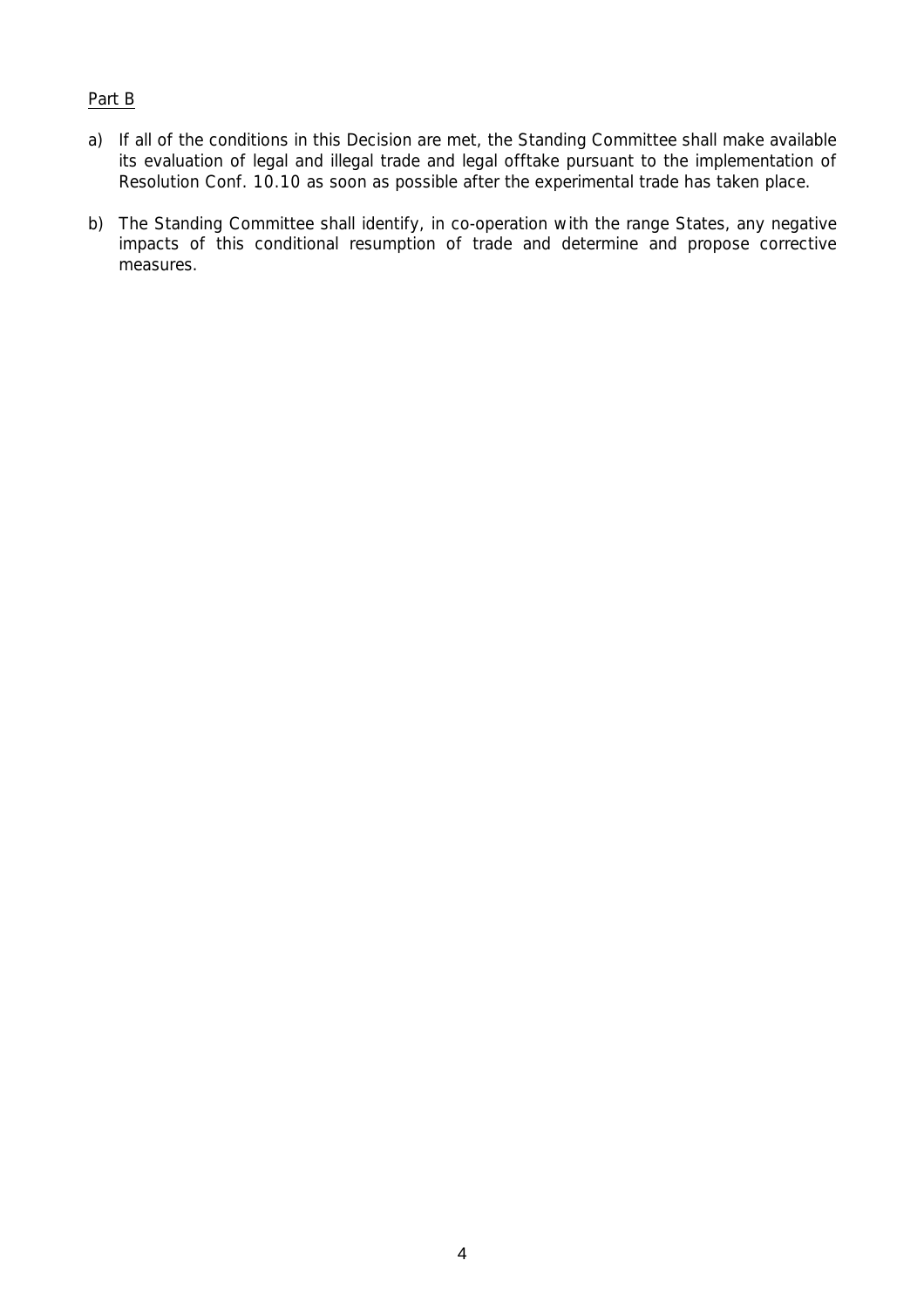# Part B

- a) If all of the conditions in this Decision are met, the Standing Committee shall make available its evaluation of legal and illegal trade and legal offtake pursuant to the implementation of Resolution Conf. 10.10 as soon as possible after the experimental trade has taken place.
- b) The Standing Committee shall identify, in co-operation with the range States, any negative impacts of this conditional resumption of trade and determine and propose corrective measures.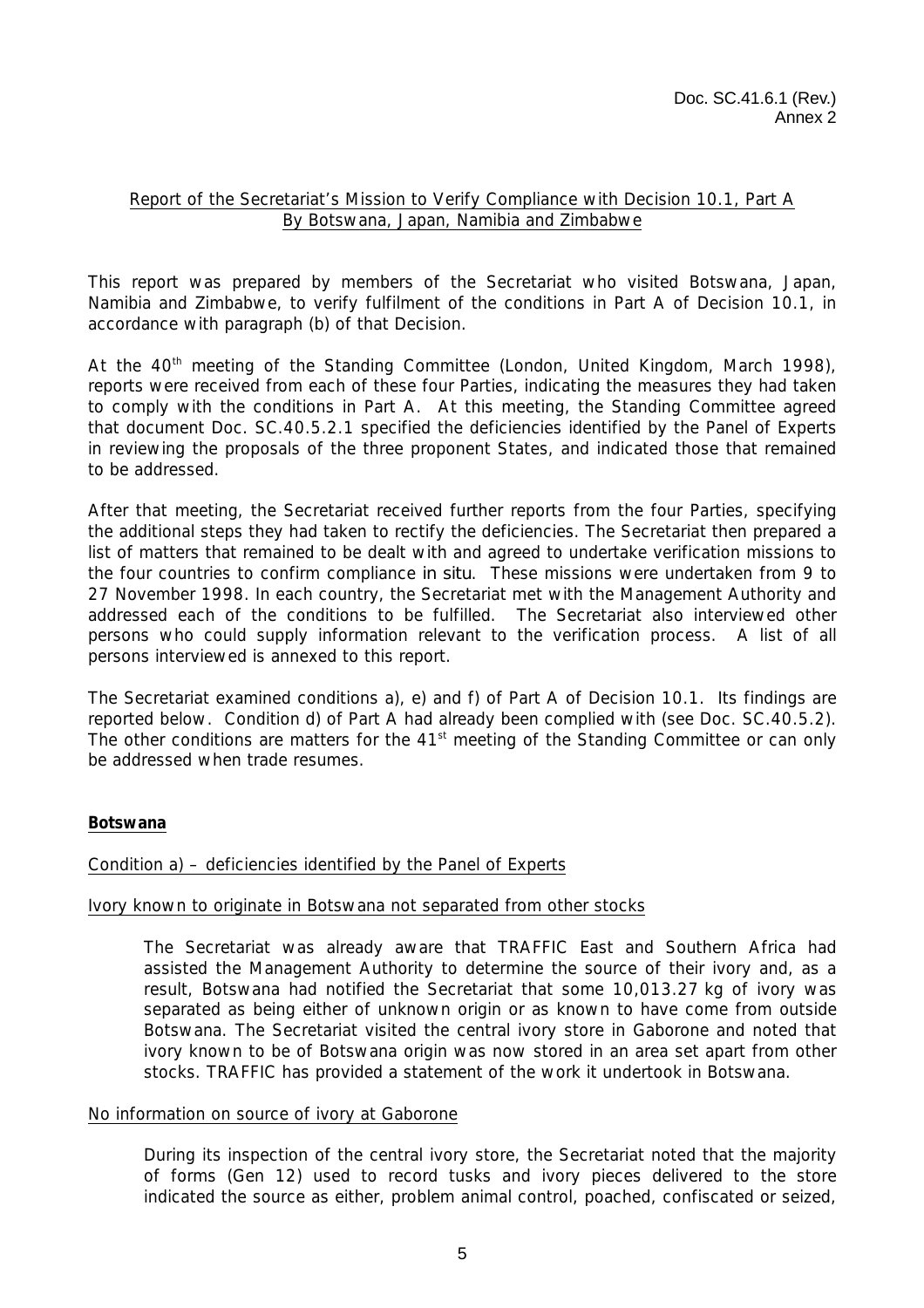# Report of the Secretariat's Mission to Verify Compliance with Decision 10.1, Part A By Botswana, Japan, Namibia and Zimbabwe

This report was prepared by members of the Secretariat who visited Botswana, Japan, Namibia and Zimbabwe, to verify fulfilment of the conditions in Part A of Decision 10.1, in accordance with paragraph (b) of that Decision.

At the 40<sup>th</sup> meeting of the Standing Committee (London, United Kingdom, March 1998), reports were received from each of these four Parties, indicating the measures they had taken to comply with the conditions in Part A. At this meeting, the Standing Committee agreed that document Doc. SC.40.5.2.1 specified the deficiencies identified by the Panel of Experts in reviewing the proposals of the three proponent States, and indicated those that remained to be addressed.

After that meeting, the Secretariat received further reports from the four Parties, specifying the additional steps they had taken to rectify the deficiencies. The Secretariat then prepared a list of matters that remained to be dealt with and agreed to undertake verification missions to the four countries to confirm compliance *in situ*. These missions were undertaken from 9 to 27 November 1998. In each country, the Secretariat met with the Management Authority and addressed each of the conditions to be fulfilled. The Secretariat also interviewed other persons who could supply information relevant to the verification process. A list of all persons interviewed is annexed to this report.

The Secretariat examined conditions a), e) and f) of Part A of Decision 10.1. Its findings are reported below. Condition d) of Part A had already been complied with (see Doc. SC.40.5.2). The other conditions are matters for the 41<sup>st</sup> meeting of the Standing Committee or can only be addressed when trade resumes.

# **Botswana**

# Condition a) – deficiencies identified by the Panel of Experts

#### Ivory known to originate in Botswana not separated from other stocks

The Secretariat was already aware that TRAFFIC East and Southern Africa had assisted the Management Authority to determine the source of their ivory and, as a result, Botswana had notified the Secretariat that some 10,013.27 kg of ivory was separated as being either of unknown origin or as known to have come from outside Botswana. The Secretariat visited the central ivory store in Gaborone and noted that ivory known to be of Botswana origin was now stored in an area set apart from other stocks. TRAFFIC has provided a statement of the work it undertook in Botswana.

#### No information on source of ivory at Gaborone

During its inspection of the central ivory store, the Secretariat noted that the majority of forms (Gen 12) used to record tusks and ivory pieces delivered to the store indicated the source as either, problem animal control, poached, confiscated or seized,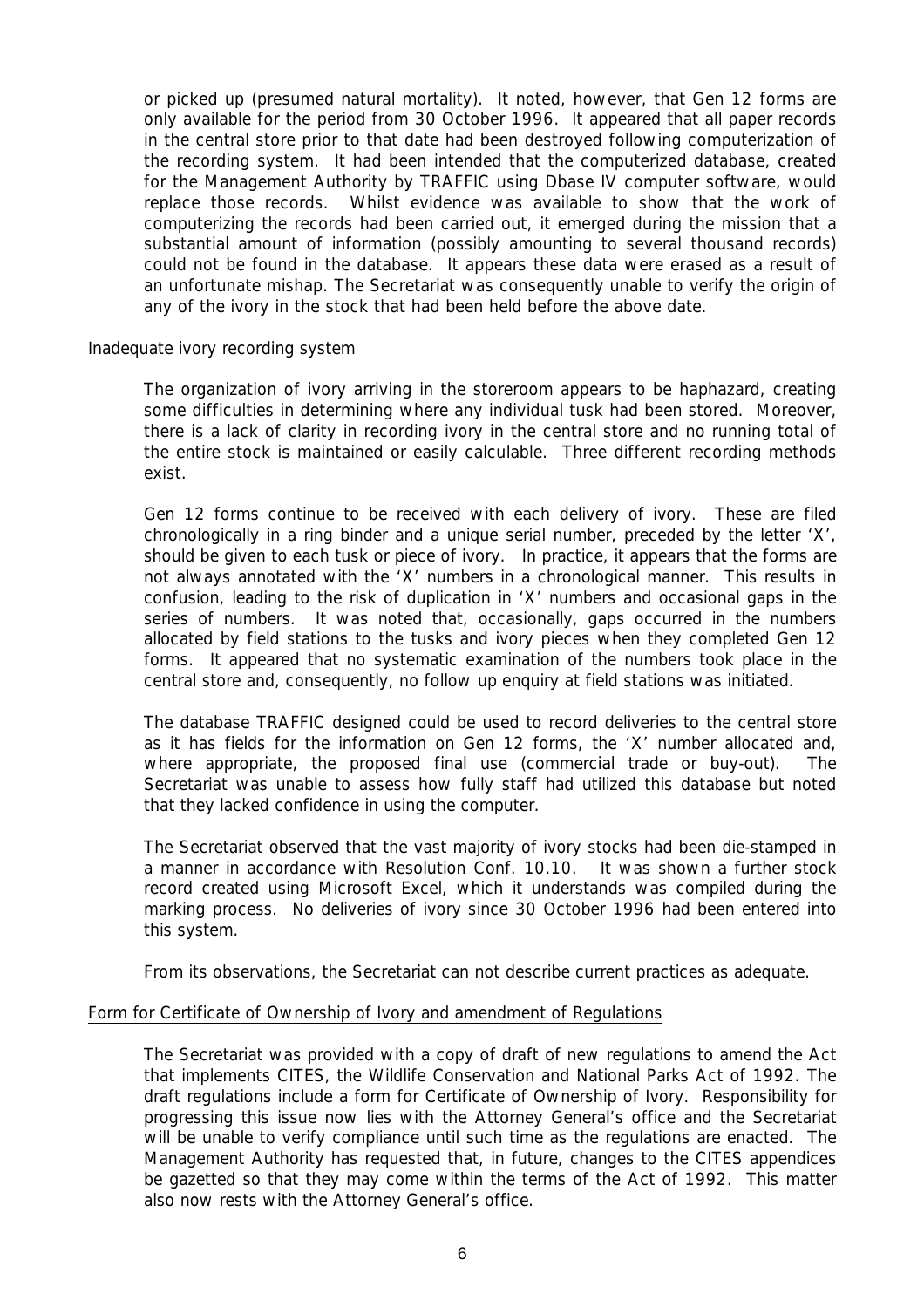or picked up (presumed natural mortality). It noted, however, that Gen 12 forms are only available for the period from 30 October 1996. It appeared that all paper records in the central store prior to that date had been destroyed following computerization of the recording system. It had been intended that the computerized database, created for the Management Authority by TRAFFIC using Dbase IV computer software, would replace those records. Whilst evidence was available to show that the work of computerizing the records had been carried out, it emerged during the mission that a substantial amount of information (possibly amounting to several thousand records) could not be found in the database. It appears these data were erased as a result of an unfortunate mishap. The Secretariat was consequently unable to verify the origin of any of the ivory in the stock that had been held before the above date.

#### Inadequate ivory recording system

 The organization of ivory arriving in the storeroom appears to be haphazard, creating some difficulties in determining where any individual tusk had been stored. Moreover, there is a lack of clarity in recording ivory in the central store and no running total of the entire stock is maintained or easily calculable. Three different recording methods exist.

Gen 12 forms continue to be received with each delivery of ivory. These are filed chronologically in a ring binder and a unique serial number, preceded by the letter 'X', should be given to each tusk or piece of ivory. In practice, it appears that the forms are not always annotated with the 'X' numbers in a chronological manner. This results in confusion, leading to the risk of duplication in 'X' numbers and occasional gaps in the series of numbers. It was noted that, occasionally, gaps occurred in the numbers allocated by field stations to the tusks and ivory pieces when they completed Gen 12 forms. It appeared that no systematic examination of the numbers took place in the central store and, consequently, no follow up enquiry at field stations was initiated.

The database TRAFFIC designed could be used to record deliveries to the central store as it has fields for the information on Gen 12 forms, the 'X' number allocated and, where appropriate, the proposed final use (commercial trade or buy-out). The Secretariat was unable to assess how fully staff had utilized this database but noted that they lacked confidence in using the computer.

The Secretariat observed that the vast majority of ivory stocks had been die-stamped in a manner in accordance with Resolution Conf. 10.10. It was shown a further stock record created using Microsoft Excel, which it understands was compiled during the marking process. No deliveries of ivory since 30 October 1996 had been entered into this system.

From its observations, the Secretariat can not describe current practices as adequate.

#### Form for Certificate of Ownership of Ivory and amendment of Regulations

The Secretariat was provided with a copy of draft of new regulations to amend the Act that implements CITES, the Wildlife Conservation and National Parks Act of 1992. The draft regulations include a form for Certificate of Ownership of Ivory. Responsibility for progressing this issue now lies with the Attorney General's office and the Secretariat will be unable to verify compliance until such time as the regulations are enacted. The Management Authority has requested that, in future, changes to the CITES appendices be gazetted so that they may come within the terms of the Act of 1992. This matter also now rests with the Attorney General's office.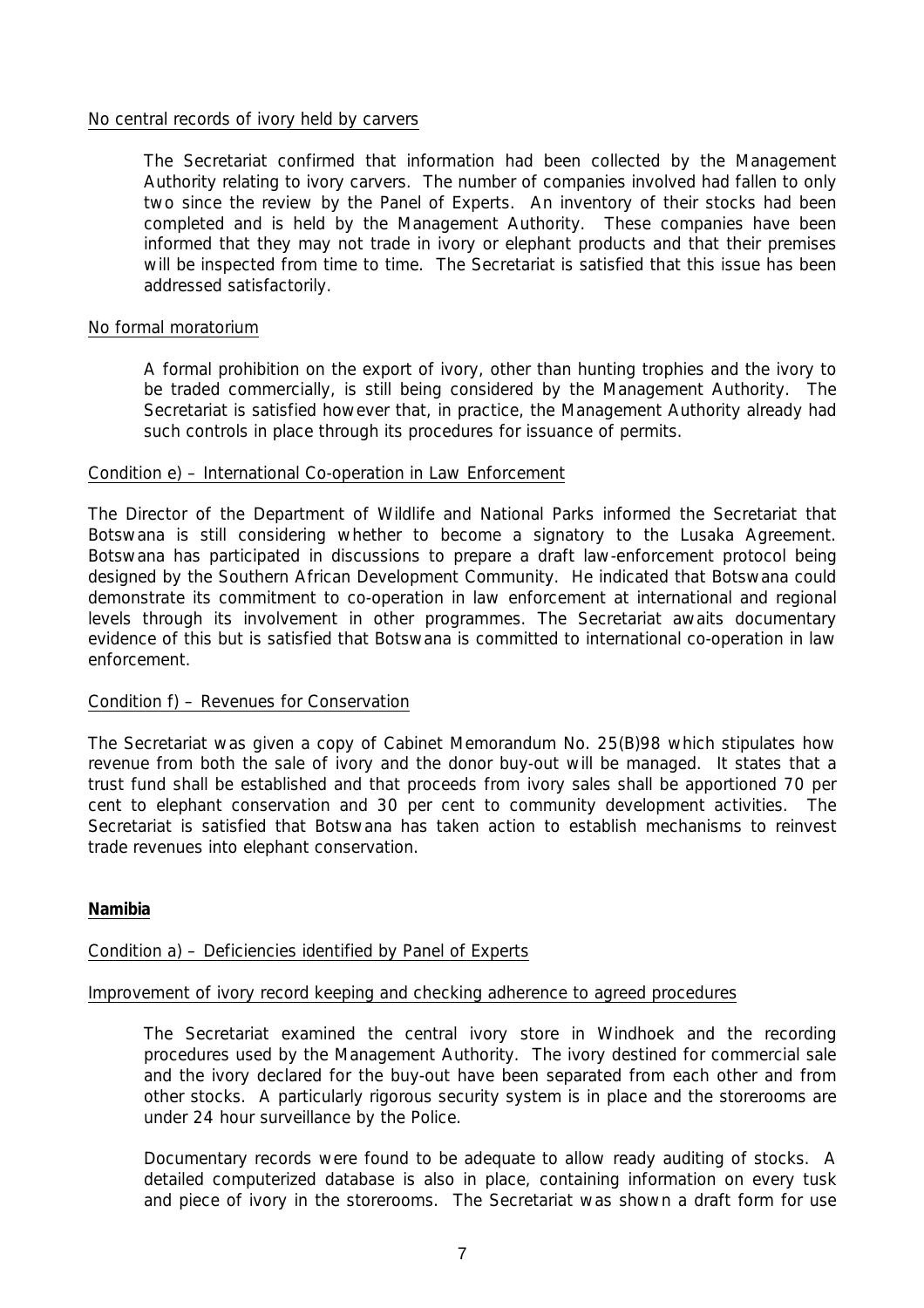### No central records of ivory held by carvers

The Secretariat confirmed that information had been collected by the Management Authority relating to ivory carvers. The number of companies involved had fallen to only two since the review by the Panel of Experts. An inventory of their stocks had been completed and is held by the Management Authority. These companies have been informed that they may not trade in ivory or elephant products and that their premises will be inspected from time to time. The Secretariat is satisfied that this issue has been addressed satisfactorily.

### No formal moratorium

A formal prohibition on the export of ivory, other than hunting trophies and the ivory to be traded commercially, is still being considered by the Management Authority. The Secretariat is satisfied however that, in practice, the Management Authority already had such controls in place through its procedures for issuance of permits.

### Condition e) – International Co-operation in Law Enforcement

The Director of the Department of Wildlife and National Parks informed the Secretariat that Botswana is still considering whether to become a signatory to the Lusaka Agreement. Botswana has participated in discussions to prepare a draft law-enforcement protocol being designed by the Southern African Development Community. He indicated that Botswana could demonstrate its commitment to co-operation in law enforcement at international and regional levels through its involvement in other programmes. The Secretariat awaits documentary evidence of this but is satisfied that Botswana is committed to international co-operation in law enforcement.

# Condition f) – Revenues for Conservation

The Secretariat was given a copy of Cabinet Memorandum No. 25(B)98 which stipulates how revenue from both the sale of ivory and the donor buy-out will be managed. It states that a trust fund shall be established and that proceeds from ivory sales shall be apportioned 70 per cent to elephant conservation and 30 per cent to community development activities. The Secretariat is satisfied that Botswana has taken action to establish mechanisms to reinvest trade revenues into elephant conservation.

# **Namibia**

# Condition a) – Deficiencies identified by Panel of Experts

# Improvement of ivory record keeping and checking adherence to agreed procedures

The Secretariat examined the central ivory store in Windhoek and the recording procedures used by the Management Authority. The ivory destined for commercial sale and the ivory declared for the buy-out have been separated from each other and from other stocks. A particularly rigorous security system is in place and the storerooms are under 24 hour surveillance by the Police.

Documentary records were found to be adequate to allow ready auditing of stocks. A detailed computerized database is also in place, containing information on every tusk and piece of ivory in the storerooms. The Secretariat was shown a draft form for use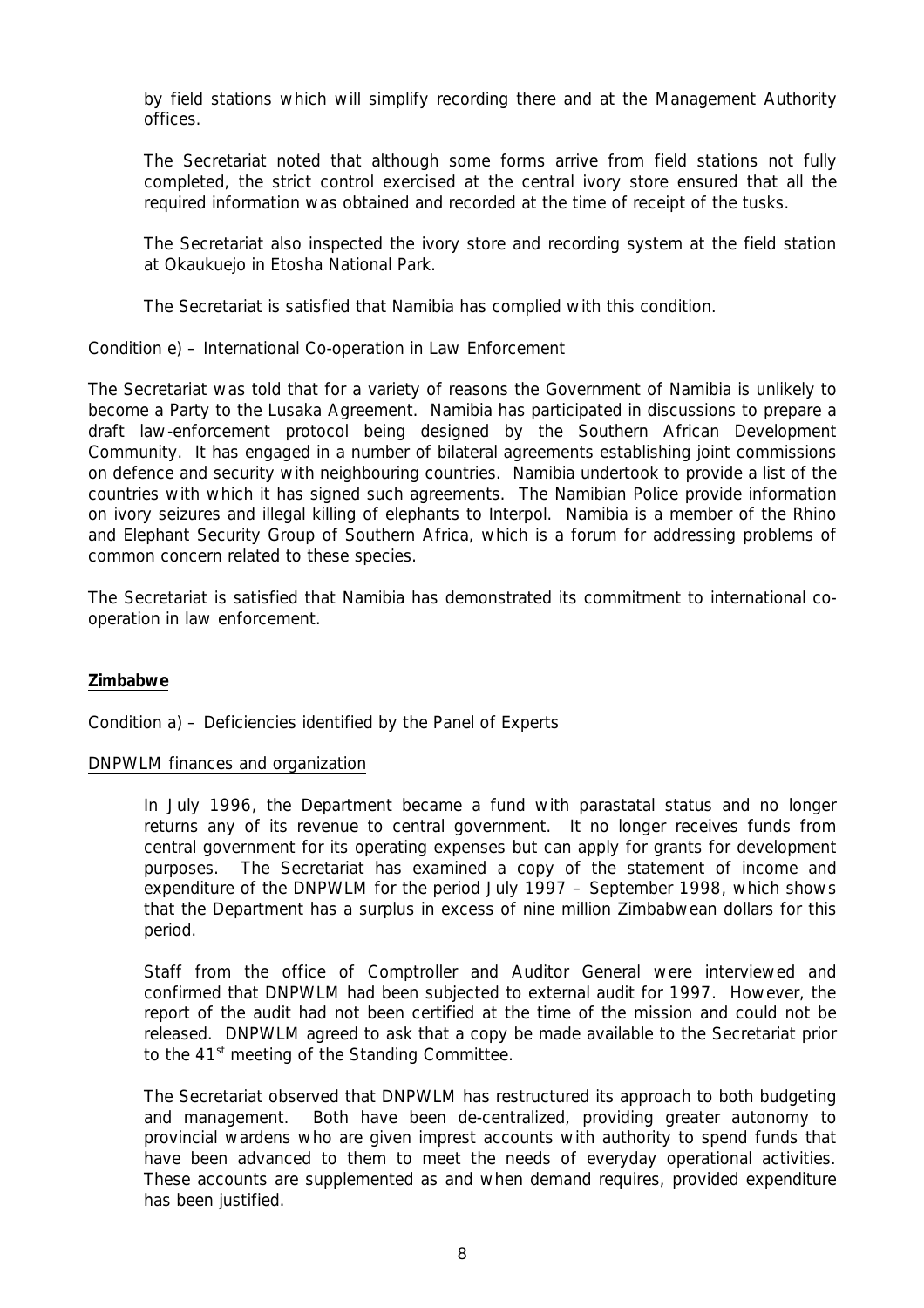by field stations which will simplify recording there and at the Management Authority offices.

The Secretariat noted that although some forms arrive from field stations not fully completed, the strict control exercised at the central ivory store ensured that all the required information was obtained and recorded at the time of receipt of the tusks.

The Secretariat also inspected the ivory store and recording system at the field station at Okaukuejo in Etosha National Park.

The Secretariat is satisfied that Namibia has complied with this condition.

# Condition e) – International Co-operation in Law Enforcement

The Secretariat was told that for a variety of reasons the Government of Namibia is unlikely to become a Party to the Lusaka Agreement. Namibia has participated in discussions to prepare a draft law-enforcement protocol being designed by the Southern African Development Community. It has engaged in a number of bilateral agreements establishing joint commissions on defence and security with neighbouring countries. Namibia undertook to provide a list of the countries with which it has signed such agreements. The Namibian Police provide information on ivory seizures and illegal killing of elephants to Interpol. Namibia is a member of the Rhino and Elephant Security Group of Southern Africa, which is a forum for addressing problems of common concern related to these species.

The Secretariat is satisfied that Namibia has demonstrated its commitment to international cooperation in law enforcement.

# **Zimbabwe**

# Condition a) – Deficiencies identified by the Panel of Experts

# DNPWLM finances and organization

In July 1996, the Department became a fund with parastatal status and no longer returns any of its revenue to central government. It no longer receives funds from central government for its operating expenses but can apply for grants for development purposes. The Secretariat has examined a copy of the statement of income and expenditure of the DNPWLM for the period July 1997 – September 1998, which shows that the Department has a surplus in excess of nine million Zimbabwean dollars for this period.

Staff from the office of Comptroller and Auditor General were interviewed and confirmed that DNPWLM had been subjected to external audit for 1997. However, the report of the audit had not been certified at the time of the mission and could not be released. DNPWLM agreed to ask that a copy be made available to the Secretariat prior to the 41<sup>st</sup> meeting of the Standing Committee.

The Secretariat observed that DNPWLM has restructured its approach to both budgeting and management. Both have been de-centralized, providing greater autonomy to provincial wardens who are given imprest accounts with authority to spend funds that have been advanced to them to meet the needs of everyday operational activities. These accounts are supplemented as and when demand requires, provided expenditure has been justified.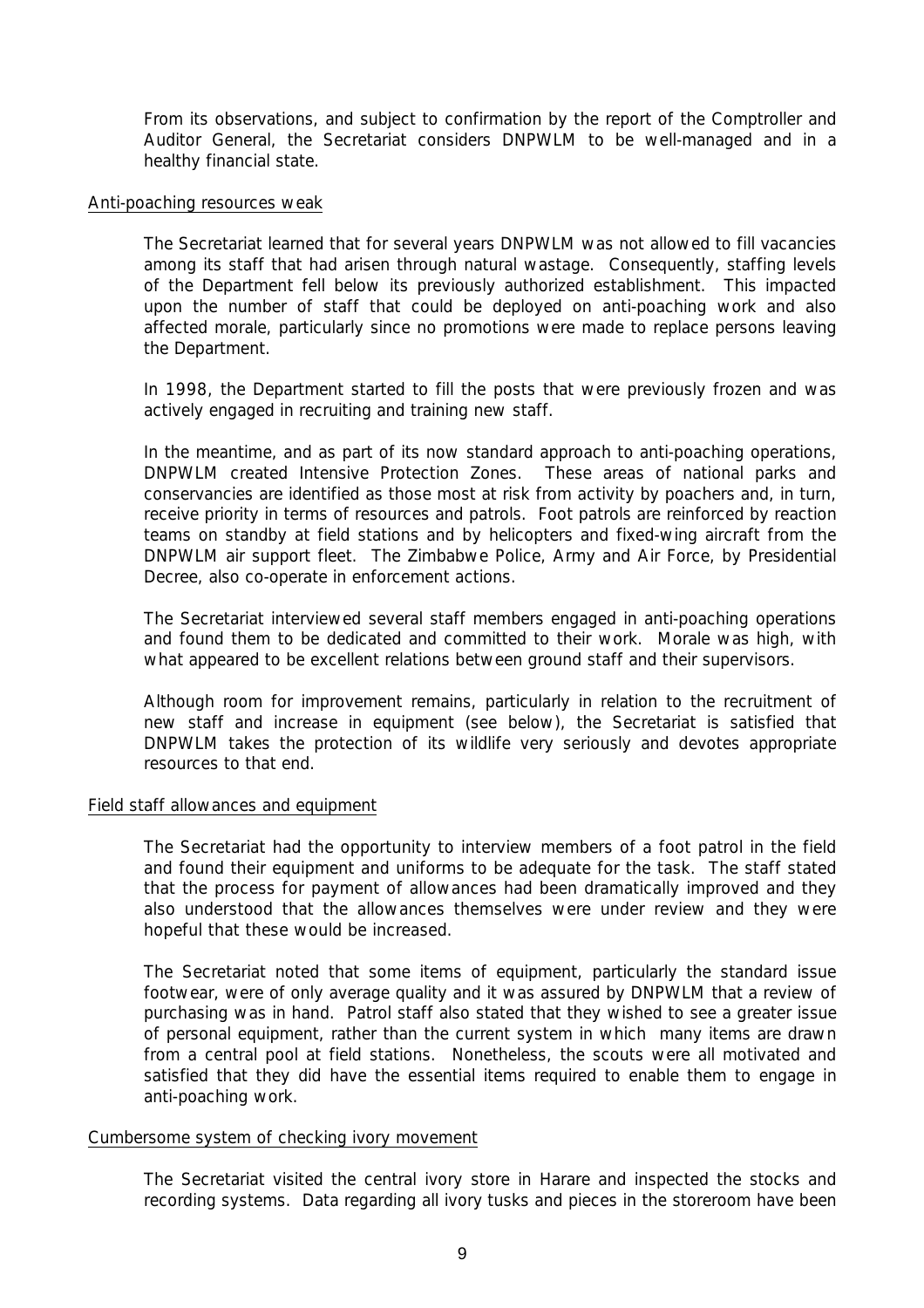From its observations, and subject to confirmation by the report of the Comptroller and Auditor General, the Secretariat considers DNPWLM to be well-managed and in a healthy financial state.

#### Anti-poaching resources weak

The Secretariat learned that for several years DNPWLM was not allowed to fill vacancies among its staff that had arisen through natural wastage. Consequently, staffing levels of the Department fell below its previously authorized establishment. This impacted upon the number of staff that could be deployed on anti-poaching work and also affected morale, particularly since no promotions were made to replace persons leaving the Department.

In 1998, the Department started to fill the posts that were previously frozen and was actively engaged in recruiting and training new staff.

In the meantime, and as part of its now standard approach to anti-poaching operations, DNPWLM created Intensive Protection Zones. These areas of national parks and conservancies are identified as those most at risk from activity by poachers and, in turn, receive priority in terms of resources and patrols. Foot patrols are reinforced by reaction teams on standby at field stations and by helicopters and fixed-wing aircraft from the DNPWLM air support fleet. The Zimbabwe Police, Army and Air Force, by Presidential Decree, also co-operate in enforcement actions.

The Secretariat interviewed several staff members engaged in anti-poaching operations and found them to be dedicated and committed to their work. Morale was high, with what appeared to be excellent relations between ground staff and their supervisors.

Although room for improvement remains, particularly in relation to the recruitment of new staff and increase in equipment (see below), the Secretariat is satisfied that DNPWLM takes the protection of its wildlife very seriously and devotes appropriate resources to that end.

#### Field staff allowances and equipment

The Secretariat had the opportunity to interview members of a foot patrol in the field and found their equipment and uniforms to be adequate for the task. The staff stated that the process for payment of allowances had been dramatically improved and they also understood that the allowances themselves were under review and they were hopeful that these would be increased.

The Secretariat noted that some items of equipment, particularly the standard issue footwear, were of only average quality and it was assured by DNPWLM that a review of purchasing was in hand. Patrol staff also stated that they wished to see a greater issue of personal equipment, rather than the current system in which many items are drawn from a central pool at field stations. Nonetheless, the scouts were all motivated and satisfied that they did have the essential items required to enable them to engage in anti-poaching work.

#### Cumbersome system of checking ivory movement

The Secretariat visited the central ivory store in Harare and inspected the stocks and recording systems. Data regarding all ivory tusks and pieces in the storeroom have been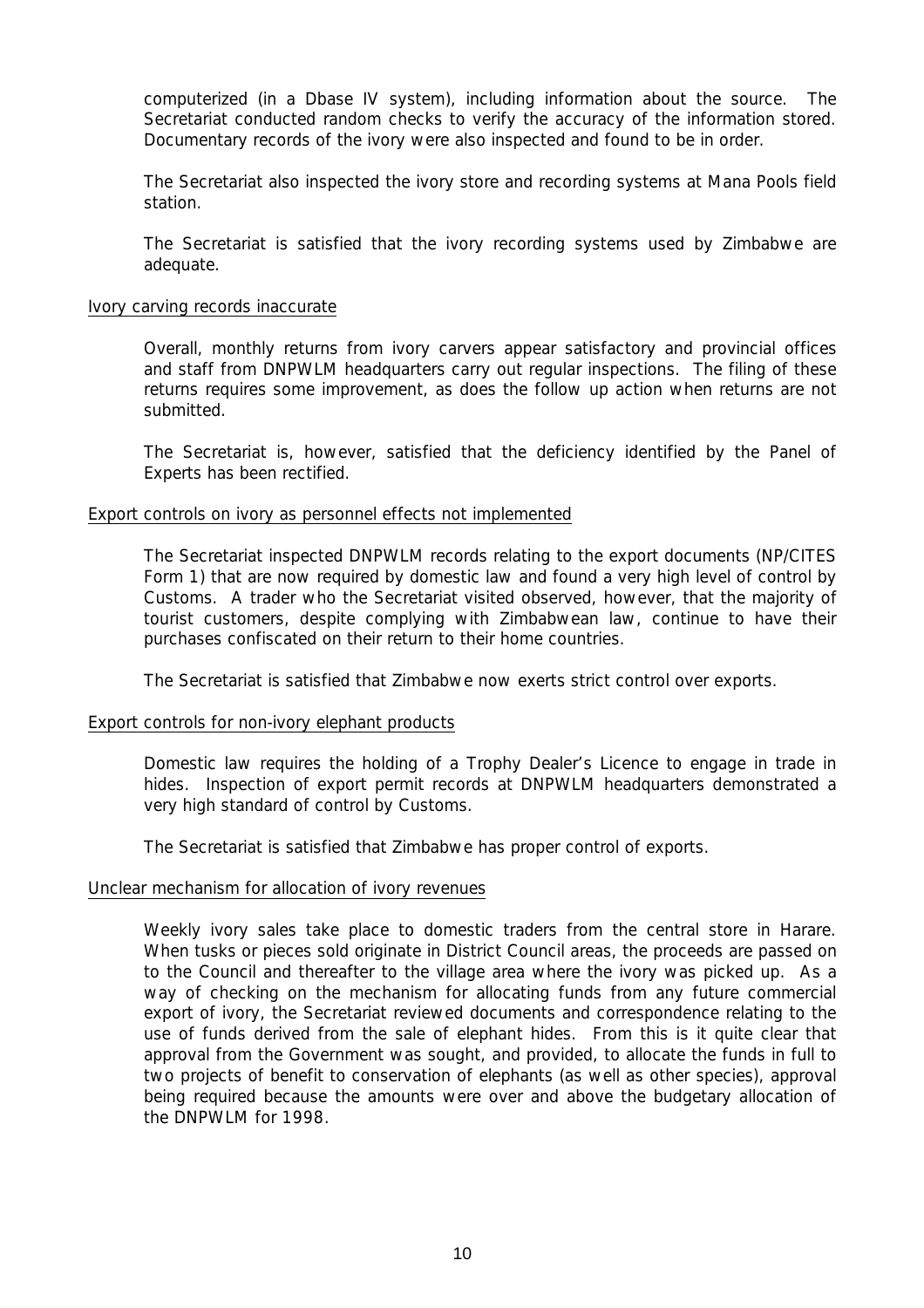computerized (in a Dbase IV system), including information about the source. The Secretariat conducted random checks to verify the accuracy of the information stored. Documentary records of the ivory were also inspected and found to be in order.

The Secretariat also inspected the ivory store and recording systems at Mana Pools field station.

The Secretariat is satisfied that the ivory recording systems used by Zimbabwe are adequate.

#### Ivory carving records inaccurate

Overall, monthly returns from ivory carvers appear satisfactory and provincial offices and staff from DNPWLM headquarters carry out regular inspections. The filing of these returns requires some improvement, as does the follow up action when returns are not submitted.

The Secretariat is, however, satisfied that the deficiency identified by the Panel of Experts has been rectified.

## Export controls on ivory as personnel effects not implemented

The Secretariat inspected DNPWLM records relating to the export documents (NP/CITES Form 1) that are now required by domestic law and found a very high level of control by Customs. A trader who the Secretariat visited observed, however, that the majority of tourist customers, despite complying with Zimbabwean law, continue to have their purchases confiscated on their return to their home countries.

The Secretariat is satisfied that Zimbabwe now exerts strict control over exports.

#### Export controls for non-ivory elephant products

Domestic law requires the holding of a Trophy Dealer's Licence to engage in trade in hides. Inspection of export permit records at DNPWLM headquarters demonstrated a very high standard of control by Customs.

The Secretariat is satisfied that Zimbabwe has proper control of exports.

#### Unclear mechanism for allocation of ivory revenues

Weekly ivory sales take place to domestic traders from the central store in Harare. When tusks or pieces sold originate in District Council areas, the proceeds are passed on to the Council and thereafter to the village area where the ivory was picked up. As a way of checking on the mechanism for allocating funds from any future commercial export of ivory, the Secretariat reviewed documents and correspondence relating to the use of funds derived from the sale of elephant hides. From this is it quite clear that approval from the Government was sought, and provided, to allocate the funds in full to two projects of benefit to conservation of elephants (as well as other species), approval being required because the amounts were over and above the budgetary allocation of the DNPWLM for 1998.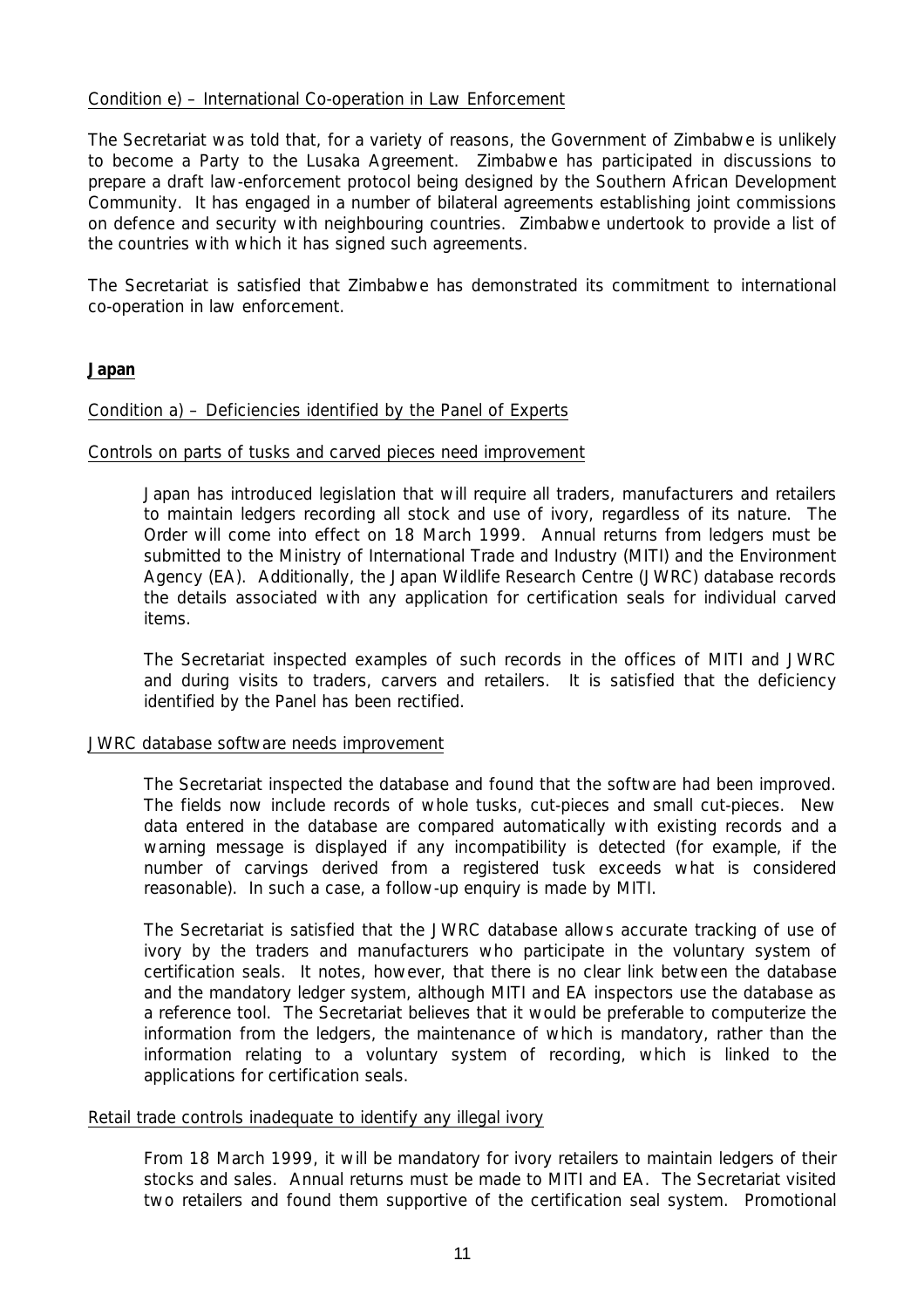# Condition e) – International Co-operation in Law Enforcement

The Secretariat was told that, for a variety of reasons, the Government of Zimbabwe is unlikely to become a Party to the Lusaka Agreement. Zimbabwe has participated in discussions to prepare a draft law-enforcement protocol being designed by the Southern African Development Community. It has engaged in a number of bilateral agreements establishing joint commissions on defence and security with neighbouring countries. Zimbabwe undertook to provide a list of the countries with which it has signed such agreements.

The Secretariat is satisfied that Zimbabwe has demonstrated its commitment to international co-operation in law enforcement.

# **Japan**

# Condition a) – Deficiencies identified by the Panel of Experts

### Controls on parts of tusks and carved pieces need improvement

Japan has introduced legislation that will require all traders, manufacturers and retailers to maintain ledgers recording all stock and use of ivory, regardless of its nature. The Order will come into effect on 18 March 1999. Annual returns from ledgers must be submitted to the Ministry of International Trade and Industry (MITI) and the Environment Agency (EA). Additionally, the Japan Wildlife Research Centre (JWRC) database records the details associated with any application for certification seals for individual carved items.

The Secretariat inspected examples of such records in the offices of MITI and JWRC and during visits to traders, carvers and retailers. It is satisfied that the deficiency identified by the Panel has been rectified.

# JWRC database software needs improvement

The Secretariat inspected the database and found that the software had been improved. The fields now include records of whole tusks, cut-pieces and small cut-pieces. New data entered in the database are compared automatically with existing records and a warning message is displayed if any incompatibility is detected (for example, if the number of carvings derived from a registered tusk exceeds what is considered reasonable). In such a case, a follow-up enquiry is made by MITI.

The Secretariat is satisfied that the JWRC database allows accurate tracking of use of ivory by the traders and manufacturers who participate in the voluntary system of certification seals. It notes, however, that there is no clear link between the database and the mandatory ledger system, although MITI and EA inspectors use the database as a reference tool. The Secretariat believes that it would be preferable to computerize the information from the ledgers, the maintenance of which is mandatory, rather than the information relating to a voluntary system of recording, which is linked to the applications for certification seals.

#### Retail trade controls inadequate to identify any illegal ivory

From 18 March 1999, it will be mandatory for ivory retailers to maintain ledgers of their stocks and sales. Annual returns must be made to MITI and EA. The Secretariat visited two retailers and found them supportive of the certification seal system. Promotional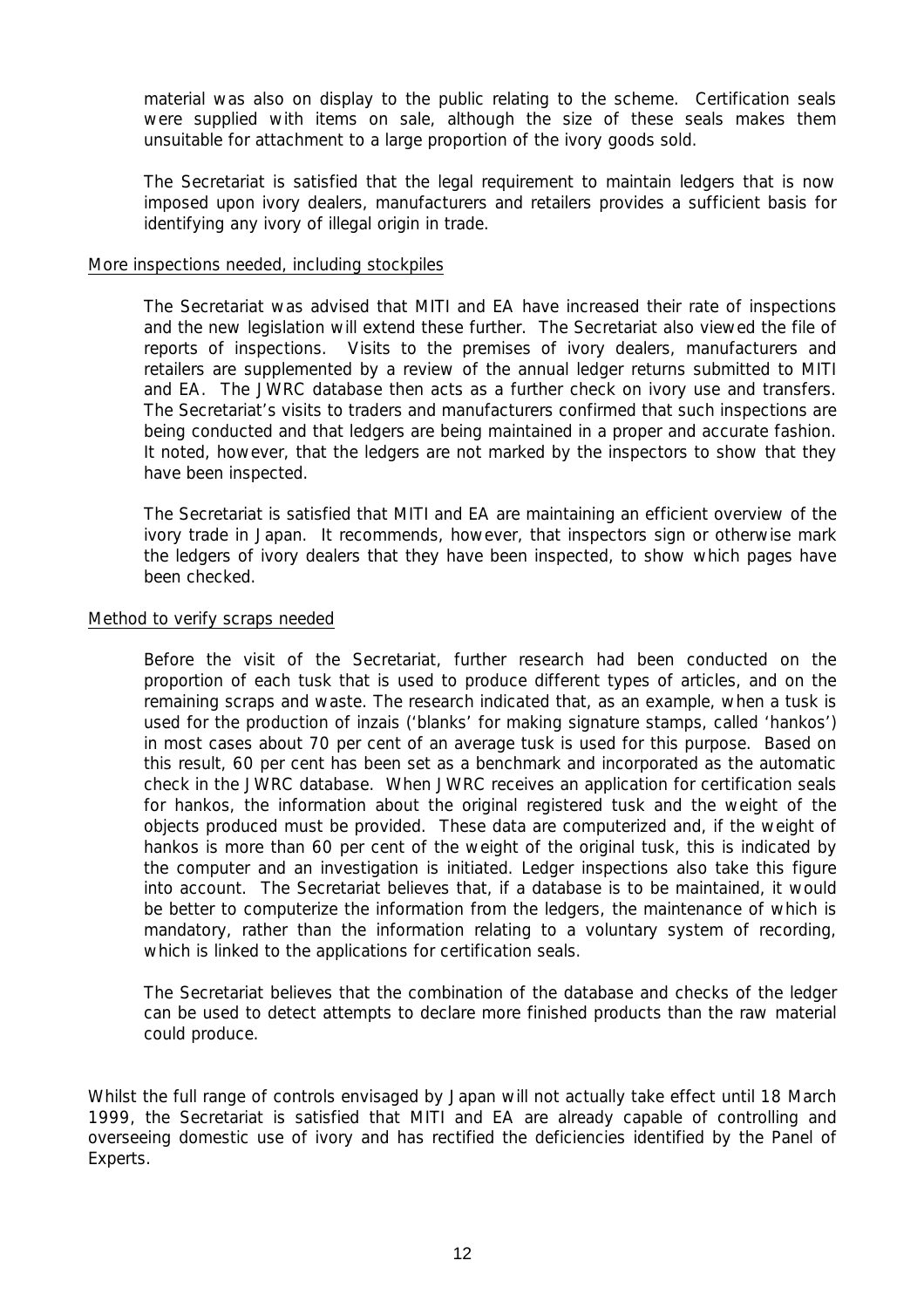material was also on display to the public relating to the scheme. Certification seals were supplied with items on sale, although the size of these seals makes them unsuitable for attachment to a large proportion of the ivory goods sold.

The Secretariat is satisfied that the legal requirement to maintain ledgers that is now imposed upon ivory dealers, manufacturers and retailers provides a sufficient basis for identifying any ivory of illegal origin in trade.

### More inspections needed, including stockpiles

The Secretariat was advised that MITI and EA have increased their rate of inspections and the new legislation will extend these further. The Secretariat also viewed the file of reports of inspections. Visits to the premises of ivory dealers, manufacturers and retailers are supplemented by a review of the annual ledger returns submitted to MITI and EA. The JWRC database then acts as a further check on ivory use and transfers. The Secretariat's visits to traders and manufacturers confirmed that such inspections are being conducted and that ledgers are being maintained in a proper and accurate fashion. It noted, however, that the ledgers are not marked by the inspectors to show that they have been inspected.

The Secretariat is satisfied that MITI and EA are maintaining an efficient overview of the ivory trade in Japan. It recommends, however, that inspectors sign or otherwise mark the ledgers of ivory dealers that they have been inspected, to show which pages have been checked.

### Method to verify scraps needed

Before the visit of the Secretariat, further research had been conducted on the proportion of each tusk that is used to produce different types of articles, and on the remaining scraps and waste. The research indicated that, as an example, when a tusk is used for the production of inzais ('blanks' for making signature stamps, called 'hankos') in most cases about 70 per cent of an average tusk is used for this purpose. Based on this result, 60 per cent has been set as a benchmark and incorporated as the automatic check in the JWRC database. When JWRC receives an application for certification seals for hankos, the information about the original registered tusk and the weight of the objects produced must be provided. These data are computerized and, if the weight of hankos is more than 60 per cent of the weight of the original tusk, this is indicated by the computer and an investigation is initiated. Ledger inspections also take this figure into account. The Secretariat believes that, if a database is to be maintained, it would be better to computerize the information from the ledgers, the maintenance of which is mandatory, rather than the information relating to a voluntary system of recording, which is linked to the applications for certification seals.

The Secretariat believes that the combination of the database and checks of the ledger can be used to detect attempts to declare more finished products than the raw material could produce.

Whilst the full range of controls envisaged by Japan will not actually take effect until 18 March 1999, the Secretariat is satisfied that MITI and EA are already capable of controlling and overseeing domestic use of ivory and has rectified the deficiencies identified by the Panel of Experts.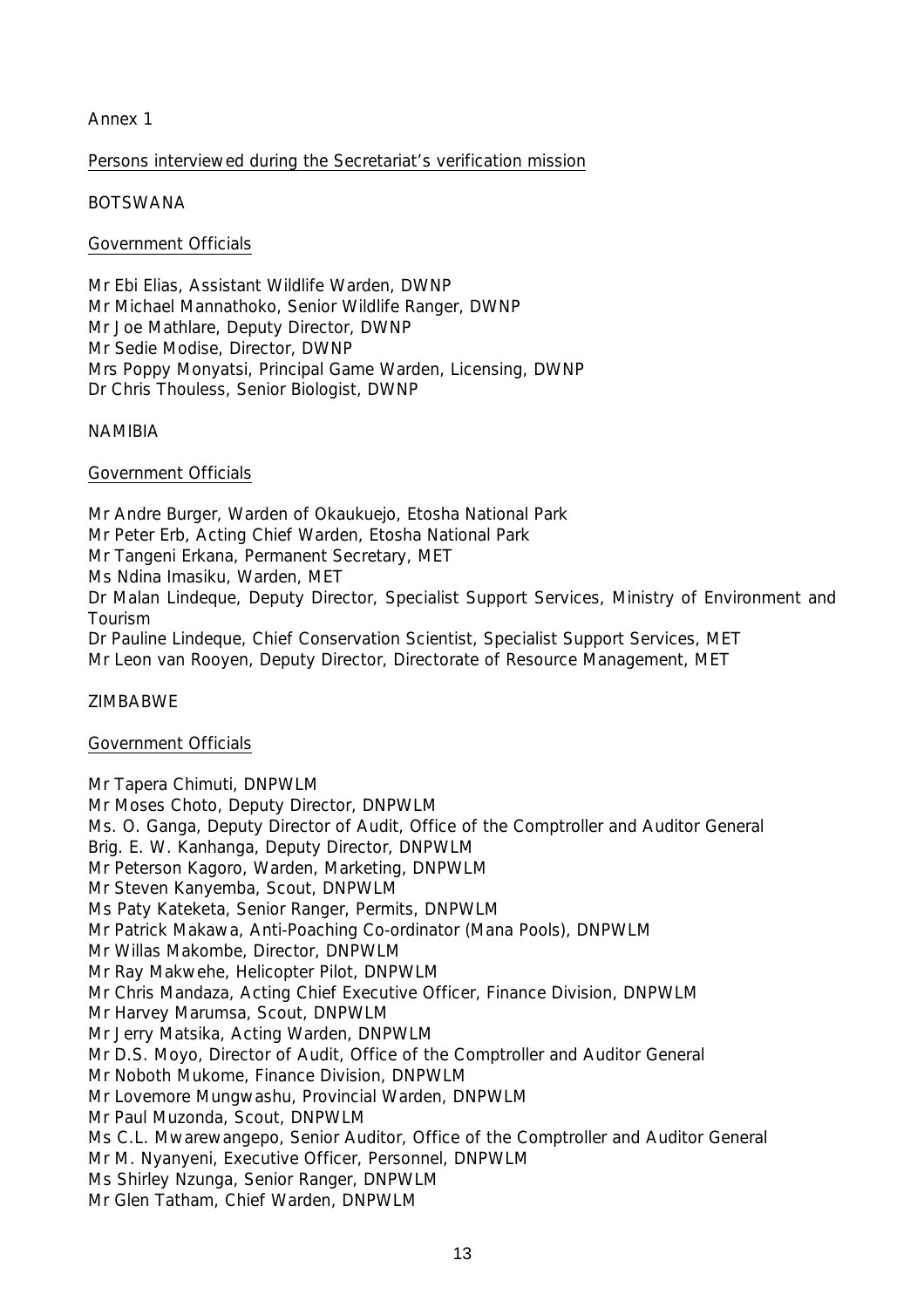# Annex 1

# Persons interviewed during the Secretariat's verification mission

## BOTSWANA

## Government Officials

Mr Ebi Elias, Assistant Wildlife Warden, DWNP Mr Michael Mannathoko, Senior Wildlife Ranger, DWNP Mr Joe Mathlare, Deputy Director, DWNP Mr Sedie Modise, Director, DWNP Mrs Poppy Monyatsi, Principal Game Warden, Licensing, DWNP Dr Chris Thouless, Senior Biologist, DWNP

### NAMIBIA

# Government Officials

Mr Andre Burger, Warden of Okaukuejo, Etosha National Park Mr Peter Erb, Acting Chief Warden, Etosha National Park Mr Tangeni Erkana, Permanent Secretary, MET Ms Ndina Imasiku, Warden, MET Dr Malan Lindeque, Deputy Director, Specialist Support Services, Ministry of Environment and Tourism Dr Pauline Lindeque, Chief Conservation Scientist, Specialist Support Services, MET Mr Leon van Rooyen, Deputy Director, Directorate of Resource Management, MET

# ZIMBABWE

# Government Officials

Mr Tapera Chimuti, DNPWLM Mr Moses Choto, Deputy Director, DNPWLM Ms. O. Ganga, Deputy Director of Audit, Office of the Comptroller and Auditor General Brig. E. W. Kanhanga, Deputy Director, DNPWLM Mr Peterson Kagoro, Warden, Marketing, DNPWLM Mr Steven Kanyemba, Scout, DNPWLM Ms Paty Kateketa, Senior Ranger, Permits, DNPWLM Mr Patrick Makawa, Anti-Poaching Co-ordinator (Mana Pools), DNPWLM Mr Willas Makombe, Director, DNPWLM Mr Ray Makwehe, Helicopter Pilot, DNPWLM Mr Chris Mandaza, Acting Chief Executive Officer, Finance Division, DNPWLM Mr Harvey Marumsa, Scout, DNPWLM Mr Jerry Matsika, Acting Warden, DNPWLM Mr D.S. Moyo, Director of Audit, Office of the Comptroller and Auditor General Mr Noboth Mukome, Finance Division, DNPWLM Mr Lovemore Mungwashu, Provincial Warden, DNPWLM Mr Paul Muzonda, Scout, DNPWLM Ms C.L. Mwarewangepo, Senior Auditor, Office of the Comptroller and Auditor General Mr M. Nyanyeni, Executive Officer, Personnel, DNPWLM Ms Shirley Nzunga, Senior Ranger, DNPWLM Mr Glen Tatham, Chief Warden, DNPWLM